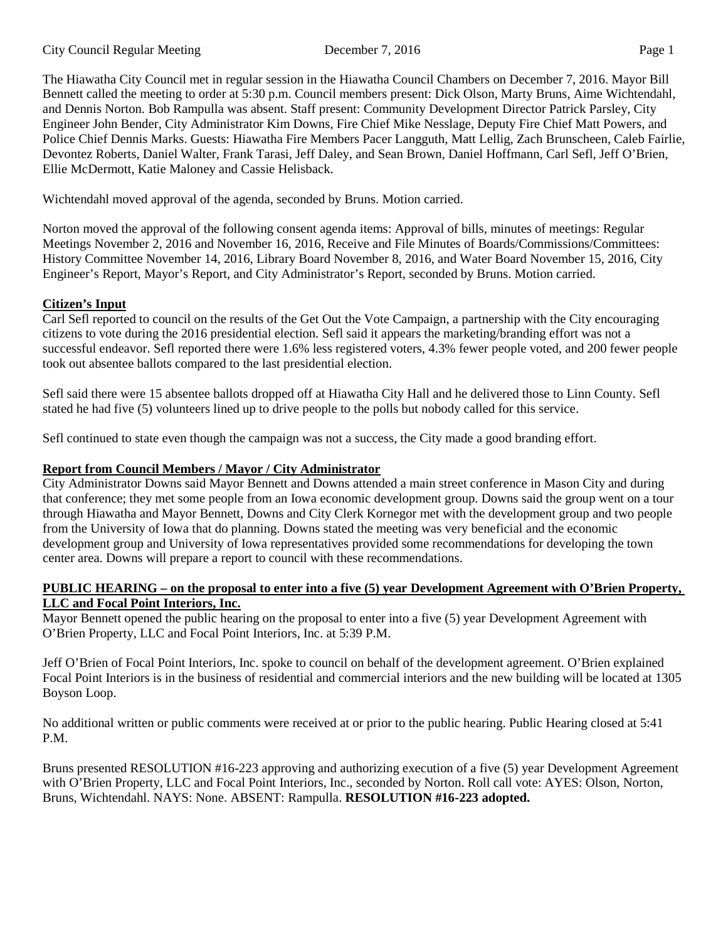The Hiawatha City Council met in regular session in the Hiawatha Council Chambers on December 7, 2016. Mayor Bill Bennett called the meeting to order at 5:30 p.m. Council members present: Dick Olson, Marty Bruns, Aime Wichtendahl, and Dennis Norton. Bob Rampulla was absent. Staff present: Community Development Director Patrick Parsley, City Engineer John Bender, City Administrator Kim Downs, Fire Chief Mike Nesslage, Deputy Fire Chief Matt Powers, and Police Chief Dennis Marks. Guests: Hiawatha Fire Members Pacer Langguth, Matt Lellig, Zach Brunscheen, Caleb Fairlie, Devontez Roberts, Daniel Walter, Frank Tarasi, Jeff Daley, and Sean Brown, Daniel Hoffmann, Carl Sefl, Jeff O'Brien, Ellie McDermott, Katie Maloney and Cassie Helisback.

Wichtendahl moved approval of the agenda, seconded by Bruns. Motion carried.

Norton moved the approval of the following consent agenda items: Approval of bills, minutes of meetings: Regular Meetings November 2, 2016 and November 16, 2016, Receive and File Minutes of Boards/Commissions/Committees: History Committee November 14, 2016, Library Board November 8, 2016, and Water Board November 15, 2016, City Engineer's Report, Mayor's Report, and City Administrator's Report, seconded by Bruns. Motion carried.

# **Citizen's Input**

Carl Sefl reported to council on the results of the Get Out the Vote Campaign, a partnership with the City encouraging citizens to vote during the 2016 presidential election. Sefl said it appears the marketing/branding effort was not a successful endeavor. Sefl reported there were 1.6% less registered voters, 4.3% fewer people voted, and 200 fewer people took out absentee ballots compared to the last presidential election.

Sefl said there were 15 absentee ballots dropped off at Hiawatha City Hall and he delivered those to Linn County. Sefl stated he had five (5) volunteers lined up to drive people to the polls but nobody called for this service.

Sefl continued to state even though the campaign was not a success, the City made a good branding effort.

# **Report from Council Members / Mayor / City Administrator**

City Administrator Downs said Mayor Bennett and Downs attended a main street conference in Mason City and during that conference; they met some people from an Iowa economic development group. Downs said the group went on a tour through Hiawatha and Mayor Bennett, Downs and City Clerk Kornegor met with the development group and two people from the University of Iowa that do planning. Downs stated the meeting was very beneficial and the economic development group and University of Iowa representatives provided some recommendations for developing the town center area. Downs will prepare a report to council with these recommendations.

#### **PUBLIC HEARING – on the proposal to enter into a five (5) year Development Agreement with O'Brien Property, LLC and Focal Point Interiors, Inc.**

Mayor Bennett opened the public hearing on the proposal to enter into a five (5) year Development Agreement with O'Brien Property, LLC and Focal Point Interiors, Inc. at 5:39 P.M.

Jeff O'Brien of Focal Point Interiors, Inc. spoke to council on behalf of the development agreement. O'Brien explained Focal Point Interiors is in the business of residential and commercial interiors and the new building will be located at 1305 Boyson Loop.

No additional written or public comments were received at or prior to the public hearing. Public Hearing closed at 5:41 P.M.

Bruns presented RESOLUTION #16-223 approving and authorizing execution of a five (5) year Development Agreement with O'Brien Property, LLC and Focal Point Interiors, Inc., seconded by Norton. Roll call vote: AYES: Olson, Norton, Bruns, Wichtendahl. NAYS: None. ABSENT: Rampulla. **RESOLUTION #16-223 adopted.**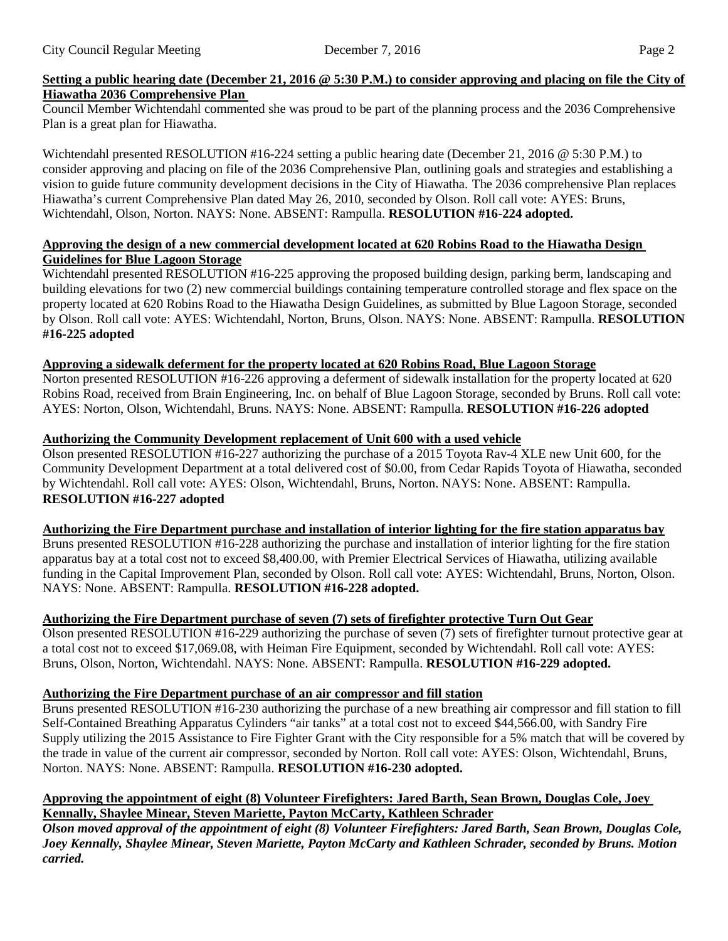# **Setting a public hearing date (December 21, 2016 @ 5:30 P.M.) to consider approving and placing on file the City of Hiawatha 2036 Comprehensive Plan**

Council Member Wichtendahl commented she was proud to be part of the planning process and the 2036 Comprehensive Plan is a great plan for Hiawatha.

Wichtendahl presented RESOLUTION #16-224 setting a public hearing date (December 21, 2016 @ 5:30 P.M.) to consider approving and placing on file of the 2036 Comprehensive Plan, outlining goals and strategies and establishing a vision to guide future community development decisions in the City of Hiawatha. The 2036 comprehensive Plan replaces Hiawatha's current Comprehensive Plan dated May 26, 2010, seconded by Olson. Roll call vote: AYES: Bruns, Wichtendahl, Olson, Norton. NAYS: None. ABSENT: Rampulla. **RESOLUTION #16-224 adopted.**

### **Approving the design of a new commercial development located at 620 Robins Road to the Hiawatha Design Guidelines for Blue Lagoon Storage**

Wichtendahl presented RESOLUTION #16-225 approving the proposed building design, parking berm, landscaping and building elevations for two (2) new commercial buildings containing temperature controlled storage and flex space on the property located at 620 Robins Road to the Hiawatha Design Guidelines, as submitted by Blue Lagoon Storage, seconded by Olson. Roll call vote: AYES: Wichtendahl, Norton, Bruns, Olson. NAYS: None. ABSENT: Rampulla. **RESOLUTION #16-225 adopted**

# **Approving a sidewalk deferment for the property located at 620 Robins Road, Blue Lagoon Storage**

Norton presented RESOLUTION #16-226 approving a deferment of sidewalk installation for the property located at 620 Robins Road, received from Brain Engineering, Inc. on behalf of Blue Lagoon Storage, seconded by Bruns. Roll call vote: AYES: Norton, Olson, Wichtendahl, Bruns. NAYS: None. ABSENT: Rampulla. **RESOLUTION #16-226 adopted**

# **Authorizing the Community Development replacement of Unit 600 with a used vehicle**

Olson presented RESOLUTION #16-227 authorizing the purchase of a 2015 Toyota Rav-4 XLE new Unit 600, for the Community Development Department at a total delivered cost of \$0.00, from Cedar Rapids Toyota of Hiawatha, seconded by Wichtendahl. Roll call vote: AYES: Olson, Wichtendahl, Bruns, Norton. NAYS: None. ABSENT: Rampulla. **RESOLUTION #16-227 adopted**

### **Authorizing the Fire Department purchase and installation of interior lighting for the fire station apparatus bay**

Bruns presented RESOLUTION #16-228 authorizing the purchase and installation of interior lighting for the fire station apparatus bay at a total cost not to exceed \$8,400.00, with Premier Electrical Services of Hiawatha, utilizing available funding in the Capital Improvement Plan, seconded by Olson. Roll call vote: AYES: Wichtendahl, Bruns, Norton, Olson. NAYS: None. ABSENT: Rampulla. **RESOLUTION #16-228 adopted.**

# **Authorizing the Fire Department purchase of seven (7) sets of firefighter protective Turn Out Gear**

Olson presented RESOLUTION #16-229 authorizing the purchase of seven (7) sets of firefighter turnout protective gear at a total cost not to exceed \$17,069.08, with Heiman Fire Equipment, seconded by Wichtendahl. Roll call vote: AYES: Bruns, Olson, Norton, Wichtendahl. NAYS: None. ABSENT: Rampulla. **RESOLUTION #16-229 adopted.**

# **Authorizing the Fire Department purchase of an air compressor and fill station**

Bruns presented RESOLUTION #16-230 authorizing the purchase of a new breathing air compressor and fill station to fill Self-Contained Breathing Apparatus Cylinders "air tanks" at a total cost not to exceed \$44,566.00, with Sandry Fire Supply utilizing the 2015 Assistance to Fire Fighter Grant with the City responsible for a 5% match that will be covered by the trade in value of the current air compressor, seconded by Norton. Roll call vote: AYES: Olson, Wichtendahl, Bruns, Norton. NAYS: None. ABSENT: Rampulla. **RESOLUTION #16-230 adopted.**

### **Approving the appointment of eight (8) Volunteer Firefighters: Jared Barth, Sean Brown, Douglas Cole, Joey Kennally, Shaylee Minear, Steven Mariette, Payton McCarty, Kathleen Schrader**

*Olson moved approval of the appointment of eight (8) Volunteer Firefighters: Jared Barth, Sean Brown, Douglas Cole, Joey Kennally, Shaylee Minear, Steven Mariette, Payton McCarty and Kathleen Schrader, seconded by Bruns. Motion carried.*